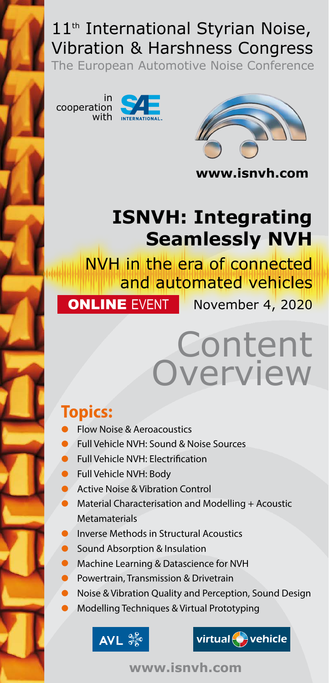# 11<sup>th</sup> International Styrian Noise, Vibration & Harshness Congress

VIDI ALION & HALSHILESS CONGLESS<br>The European Automotive Noise Conference The European Automotive Noise Conference



The European Automotive Noise Conference



Nov. 3-5, 2020 Graz / Austria with www.isnvh.com **www.isnvh.com**

# **ISNVH: Integrating Seamlessly NVH**

NVH in the era of connected and automated vehicles **ONLINE EVENT** November 4, 2020

# Content Overview

# **Topics:**

- Flow Noise & Aeroacoustics
- Full Vehicle NVH: Sound & Noise Sources
- Full Vehicle NVH: Electrification
- Full Vehicle NVH: Body
- Active Noise & Vibration Control
- Material Characterisation and Modelling + Acoustic Metamaterials
- Inverse Methods in Structural Acoustics
- Sound Absorption & Insulation
- Machine Learning & Datascience for NVH<br>• Powertrain, Transmission & Drivetrain
- Powertrain, Transmission & Drivetrain
- Noise & Vibration Quality and Perception, Sound Design
- Modelling Techniques & Virtual Prototyping





**www.isnvh.com**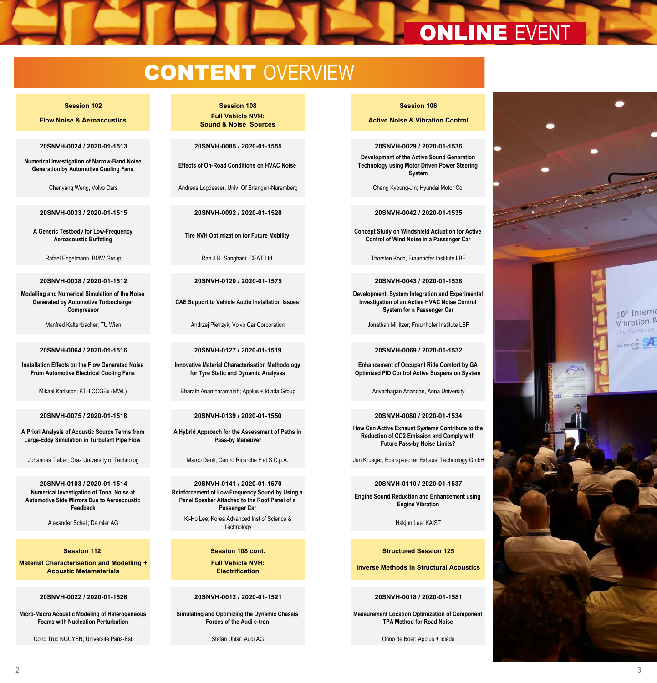# **ONLINE EVENT**

## *congress room no 1 congress room no 2 congress room no 3* **CONTENT OVERVIEW**

**Flow Noise & Aeroacoustics Full Vehicle NVH:** 

**20SNVH-0024 / 2020-01-1513 20SNVH-0085 / 2020-01-1555 10:40 20SNVH-0029 / 2020-01-1536**

**Numerical Investigation of Narrow-Band Noise Generation by Automotive Cooling Fans Effects of On-Road Conditions on HVAC Noise**

**20SNVH-0033 / 2020-01-1515 20SNVH-0092 / 2020-01-1520 11:00 20SNVH-0042 / 2020-01-1535**

**A Generic Testbody for Low-Frequency Aeroacoustic Buffeting Tire NVH Optimization for Future Mobility**

**20SNVH-0038 / 2020-01-1512 20SNVH-0120 / 2020-01-1575 11:20 20SNVH-0043 / 2020-01-1538**

**Modelling and Numerical Simulation of the Noise Generated by Automotive Turbocharger Compressor**

**Installation Effects on the Flow Generated Noise From Automotive Electrical Cooling Fans**

**A Priori Analysis of Acoustic Source Terms from Large-Eddy Simulation in Turbulent Pipe Flow**

**Numerical Investigation of Tonal Noise at Automotive Side Mirrors Due to Aeroacoustic Feedback**

**Material Characterisation and Modelling + Acoustic Metamaterials** 

**Micro-Macro Acoustic Modeling of Heterogeneous Foams with Nucleation Perturbation**

Cong Truc NGUYEN; Université Paris-Est Stefan Uhlar; Audi AG Onno de Boer; Applus + Idiada

## **Session 102 Session 108 10:40 Session 106**

**Sound & Noise Sources**

Chenyang Weng, Volvo Cars **Andreas Logdesser, Univ. Of Erlangen-Nuremberg** Chang Kyoung-Jin; Hyundai Motor Co.

**CAE Support to Vehicle Audio Installation Issues**

Manfred Kaltenbacher; TU Wien Andrzei Pietrzyk; Volvo Car Corporation Jonathan Millitzer; Fraunhofer Institute LBF

**20SNVH-0064 / 2020-01-1516 20SNVH-0127 / 2020-01-1519 11:40 20SNVH-0069 / 2020-01-1532**

**Innovative Material Characterisation Methodology for Tyre Static and Dynamic Analyses**

Mikael Karlsson; KTH CCGEx (MWL) Bharath Anantharamaiah; Applus + Idiada Group Arivazhagan Anandan, Anna University

**20SNVH-0075 / 2020-01-1518 20SNVH-0139 / 2020-01-1550 12:00 20SNVH-0080 / 2020-01-1534**

**A Hybrid Approach for the Assessment of Paths in Pass-by Maneuver**

**20SNVH-0103 / 2020-01-1514 20SNVH-0141 / 2020-01-1570 12:20 20SNVH-0110 / 2020-01-1537 Reinforcement of Low-Frequency Sound by Using a Panel Speaker Attached to the Roof Panel of a Passenger Car**

Alexander Schell: Daimler AG Ki-Ho Lee; Korea Advanced Inst of Science & a Advanced inst of Science & California and California Hakjun Lee; KAIST<br>Technology

> **Full Vehicle NVH: Electrification**

## **20SNVH-0022 / 2020-01-1526 20SNVH-0012 / 2020-01-1521 14:10 20SNVH-0018 / 2020-01-1581**

**Simulating and Optimizing the Dynamic Chassis Forces of the Audi e-tron** 

**Active Noise & Vibration Control** 

**Development of the Active Sound Generation Technology using Motor Driven Power Steering System**

**Concept Study on Windshield Actuation for Active Control of Wind Noise in a Passenger Car**

Rafael Engelmann, BMW Group **Rahul R. Sanghani; CEAT Ltd.** Thorsten Koch, Fraunhofer Institute LBF

**Development, System Integration and Experimental Investigation of an Active HVAC Noise Control System for a Passenger Car**

**Enhancement of Occupant Ride Comfort by GA Optimized PID Control Active Suspension System**

**How Can Active Exhaust Systems Contribute to the Reduction of CO2 Emission and Comply with Future Pass-by Noise Limits?**

Johannes Tieber; Graz University of Technolog Marco Danti; Centro Ricerche Fiat S.C.p.A. Jan Krueger; Eberspaecher Exhaust Technology GmbH

**Engine Sound Reduction and Enhancement using Engine Vibration** 

## **Session 112 Session 125 Session 108 cont. 14:10 Session 125 Structured Session 125**

**Inverse Methods in Structural Acoustics** 

**Measurement Location Optimization of Component TPA Method for Road Noise**



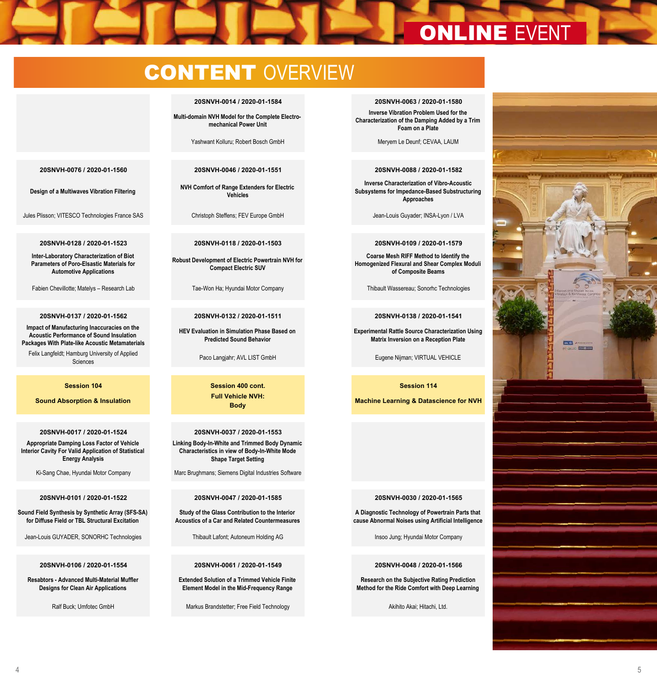# **20SNVH-0012 / 2020-01-1526**

## Cong Truc NGUYEN; Université Paris-Est Stefan Uhlar; Audi AG Onno de Boer; Applus + Idiada **CONTENT OVERVIEW**

## **20SNVH-0014 / 2020-01-1584 14:30 20SNVH-0063 / 2020-01-1580**

**Full Vehicle NVH: Electrification**

**Multi-domain NVH Model for the Complete Electromechanical Power Unit**

Yashwant Kolluru; Robert Bosch GmbH Meryem Le Deunf; CEVAA, LAUM

**Micro-Macro Acoustic Modeling of Heterogeneous** 

**Material Characterisation and Modelling + Acoustic Metamaterials** 

**Design of a Multiwaves Vibration Filtering**

Jules Plisson; VITESCO Technologies France SAS Christoph Steffens; FEV Europe GmbH Jean-Louis Guyader; INSA-Lyon / LVA

## **20SNVH-0128 / 2020-01-1523 20SNVH-0118 / 2020-01-1503 15:10 20SNVH-0109 / 2020-01-1579**

**Inter-Laboratory Characterization of Biot Parameters of Poro-Elsastic Materials for Automotive Applications**

**Impact of Manufacturing Inaccuracies on the Acoustic Performance of Sound Insulation Packages With Plate-like Acoustic Metamaterials**

Felix Langfeldt; Hamburg University of Applied

**Sound Absorption & Insulation**

**Appropriate Damping Loss Factor of Vehicle Interior Cavity For Valid Application of Statistical Energy Analysis**

Ki-Sang Chae, Hyundai Motor Company Marc Brughmans; Siemens Digital Industries Software

**Sound Field Synthesis by Synthetic Array (SFS-SA) for Diffuse Field or TBL Structural Excitation**

Jean-Louis GUYADER, SONORHC Technologies Thibault Lafont; Autoneum Holding AG Insoo Jung; Hyundai Motor Company

**Resabtors - Advanced Multi-Material Muffler Designs for Clean Air Applications**

**20SNVH-0076 / 2020-01-1560 20SNVH-0046 / 2020-01-1551 14:50 20SNVH-0088 / 2020-01-1582**

**NVH Comfort of Range Extenders for Electric Vehicles**

**Robust Development of Electric Powertrain NVH for Compact Electric SUV**

**HEV Evaluation in Simulation Phase Based on Predicted Sound Behavior**

**Session 104 Session 400 cont. 16:20 Session 114 Full Vehicle NVH: Body**

## **20SNVH-0017 / 2020-01-1524 20SNVH-0037 / 2020-01-1553 16:20 Linking Body-In-White and Trimmed Body Dynamic**

**Characteristics in view of Body-In-White Mode Shape Target Setting**

**Study of the Glass Contribution to the Interior Acoustics of a Car and Related Countermeasures**

## **20SNVH-0106 / 2020-01-1554 20SNVH-0061 / 2020-01-1549 17:00 20SNVH-0048 / 2020-01-1566**

**Extended Solution of a Trimmed Vehicle Finite Element Model in the Mid-Frequency Range**

Ralf Buck; Umfotec GmbH Markus Brandstetter; Free Field Technology Akihito Akai; Hitachi, Ltd.

**Inverse Vibration Problem Used for the** 

**Inverse Methods in Structural Acoustics** 

**Measurement Location Optimization of Component** 

**Characterization of the Damping Added by a Trim Foam on a Plate**

**Inverse Characterization of Vibro-Acoustic Subsystems for Impedance-Based Substructuring Approaches**

**Coarse Mesh RIFF Method to Identify the Homogenized Flexural and Shear Complex Moduli of Composite Beams**

Fabien Chevillotte; Matelys – Research Lab Tae-Won Ha; Hyundai Motor Company Thibault Wassereau; Sonorhc Technologies

## **20SNVH-0137 / 2020-01-1562 20SNVH-0132 / 2020-01-1511 15:30 20SNVH-0138 / 2020-01-1541**

**Experimental Rattle Source Characterization Using Matrix Inversion on a Reception Plate**

Paco Langjahr; AVL LIST GmbH Eugene Nijman; VIRTUAL VEHICLE

**Machine Learning & Datascience for NVH**

## **20SNVH-0101 / 2020-01-1522 20SNVH-0047 / 2020-01-1585 16:40 20SNVH-0030 / 2020-01-1565**

**A Diagnostic Technology of Powertrain Parts that cause Abnormal Noises using Artificial Intelligence**

**Research on the Subjective Rating Prediction Method for the Ride Comfort with Deep Learning**

**Destal**  $-$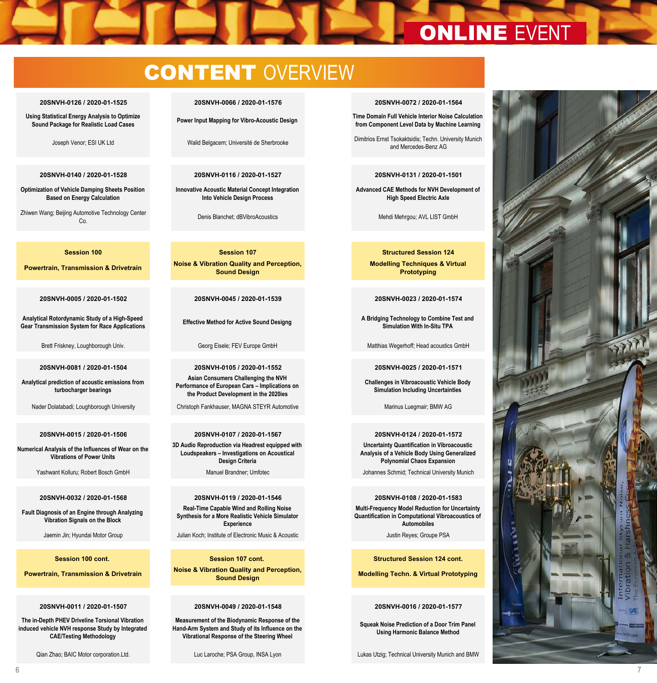# Ralf Buck; Umfotec GmbH Markus Brandstetter; Free Field Technology Akihito Akai; Hitachi, Ltd. **20SNVH-0106 / 2020-01-1554 20SNVH-0061 / 2020-01-1549 17:00 20SNVH-0048 / 2020-01-1566** ONLINE EVENT

## **20SNVH-0126 / 2020-01-1525 20SNVH-0066 / 2020-01-1576 17:20 20SNVH-0072 / 2020-01-1564 from Component Learning for Vibro-Acoustic Design Markus Brandstetter; Free Field Technology Akihitachi, Ltd. CONTENT OVERVIEW**

## **20SNVH-0126 / 2020-01-1525 20SNVH-0066 / 2020-01-1576 17:20 20SNVH-0072 / 2020-01-1564**

**Designs for Clean Air Applications**

**Resabtors - Advanced Multi-Material Muffler Designs for Clean Air Applications**

**Using Statistical Energy Analysis to Optimize Sound Package for Realistic Load Cases**

**Joseph Venor; ESI UK Ltd** 

## 20SNVH-0140 / 2020-01-1528 Co. Denis Blanchet; dBVibroAcoustics Mehdi Mehrgou; AVL LIST GmbH **20SNVH-0140 / 2020-01-1528 20SNVH-0116 / 2020-01-1527 17:40 20SNVH-0131 / 2020-01-1501**

**Optimization of Vehicle Damping Sheets Position Based on Energy Calculation**

Zhiwen Wang; Beijing Automotive Technology Center

**Powertrain, Transmission & Drivetrain** 

**Analytical Rotordynamic Study of a High-Speed Powertrain, Transmission & Drivetrain Gear Transmission System for Race Applications**

## **Analytical Rotordynamic Study of a High-Speed Gear Transmission System for Race Applications**

**Analytical prediction of acoustic emissions from turbocharger bearings**

## **Analytical prediction of acoustic emissions from turbocharger bearings**

**Numerical Analysis of the Influences of Wear on the Vibrations of Power Units**

## **Numerical Analysis of the Influences of Wear on the**

**Fault Diagnosis of an Engine through Analyzing Vibration Signals on the Block**

## **Session 100 cont.**

**Mather Prowertrain, Transmission & Drivetrain** 

**The in-Depth PHEV Driveline Torsional Vibration induced vehicle NVH response Study by Integrated CAE/Testing Methodology**

**Element Model in the Mid-Frequency Range**

**Extended Solution of a Trimmed Vehicle Finite Element Model in the Mid-Frequency Range**

Jean-Louis GUYADER, SONORHC Technologies Thibault Lafont; Autoneum Holding AG Insoo Jung; Hyundai Motor Company

**Innovative Acoustic Material Concept Integration Into Vehicle Design Process**

**Denis Blanchet: dBVibroAcoustics** 

**Session 100 Session 107 CONSIDERED IN Session 124 CONSIDERED IN Structured Session 124 Noise & Vibration Quality and Perception, Sound Design** 

**Effective Method for Active Sound Designg Sound Design** 

**20SNVH-0081 / 2020-01-1504 20SNVH-0105 / 2020-01-1552 08:50 20SNVH-0025 / 2020-01-1571 Effective Method for Active Sound Designg Asian Consumers Challenging the NVH Performance of European Cars – Implications on**  turbocharger bearings **Exercise Computer Computer Computer Computer** The Product Development in the 2020ies **Computer Computer Computer Computer Computer** Computer Computer Computer Computer Computer Computer Computer Comp

Nader Dolatabadi; Loughborough University Christoph Fankhauser, MAGNA STEYR Automotive Marinus Luegmair; BMW AG

**3D Audio Reproduction via Headrest equipped with the Product Development in the 2020ies** المواجهة المستقدم المستقدم المستقدم المستقدم المستقدم المستقدم المستقدم المستقدم المستقدم المستقدم المستقدم المس<br>المستقدم المستقدم المستقدم المستقدم المستقدم المستقدم المستقدم المستقدم المستقدم المستقدم المستقدم المستقدم **Design Criteria Performance of European Cars – Implications on** 

**20SNVH-0032 / 2020-01-1568 20SNVH-0119 / 2020-01-1546 09:30 20SNVH-0108 / 2020-01-1583 3D Audio Reproduction via Headrest equipped with Loudspeakers – Investigations on Acoustical Real-Time Capable Wind and Rolling Noise** Synthesis for a More Realistic Vehicle Simulator **Control Control Construction** Computational Vibroacoustics Synthesis for a More Realistic Vehicle Simulator **Annual Construction** Computational Vibroacoustics **Experience**

Jaemin Jin; Hyundai Motor Group Julian Koch; Institute of Electronic Music & Acoustic Justin Reyes; Groupe PSA

**Session 100 cont.**<br> **Multi-Frequency Model Reduction for Uncertainty and Session 107 cont.**<br> **Multi-Frequency Model Reduction for Augustics of Augustics of Augustics of Augustics of Augustics of Augustics of Augustics of Noise & Vibration Quality and Perception, Sound Design** Jaemin Jin; Hyundai Motor Group Julian Koch; Institute of Electronic Music & Acoustic Justin Reyes; Groupe PSA **Real-Time Capable Session 107 cont.** 

## **20SNVH-0011 / 2020-01-1507 20SNVH-0049 / 2020-01-1548 10:10 20SNVH-0016 / 2020-01-1577 Session 100 cont. Session 107 cont. 10:10 Structured Session 124 cont.**

**Measurement of the Biodynamic Response of the Hand-Arm System and Study of its Influence on the Vibrational Response of the Steering Wheel**

## Joseph Venor; ESI UK Ltd Walid Belgacem; Université de Sherbrooke Dimitrios Ernst Tsokaktsidis; Techn. University Munich 20SNVH-0072 / 2020-01-1564

**Method for the Ride Comfort with Deep Learning**

**Research on the Subjective Rating Prediction Method for the Ride Comfort with Deep Learning**

**20SNVH-0140 / 2020-01-1528 20SNVH-0116 / 2020-01-1527 17:40 20SNVH-0131 / 2020-01-1501 Time Domain Full Vehicle Interior Noise Calculation from Component Level Data by Machine Learning Power Input Mapping for Vibro-Acoustic Design**

**Advanced Mercedes-Benz AG Innovative Acoustic Material Concept Integration**  Joseph Venor; ESI UK Ltd Walid Belgacem; Université de Sherbrooke Dimitrios Ernst Tsokaktsidis; Techn. University Munich

**Advanced CAE Methods for NVH Development of High Speed Electric Axle**

Mehdi Mehrgou; AVL LIST GmbH

**Modelling Techniques & Virtual Prototyping**  *congress room no 1 congress room no 2 congress room no 3*

## **20SNVH-0005 / 2020-01-1502 20SNVH-0045 / 2020-01-1539 08:30 20SNVH-0023 / 2020-01-1574 Session 100 Session 107 08:30 Structured Session 124**

**A Bridging Technology to Combine Test and Simulation With In-Situ TPA**

Brett Friskney, Loughborough Univ. **Channel Matthias Wegerhoff; Head acoustics GmbH** Matthias Wegerhoff; Head acoustics GmbH

## **A Bridging Technology to Combine Test and Simulation With In-Situ TPA**

**Challenges in Vibroacoustic Vehicle Body Simulation Including Uncertainties**

**20SNVH-0081 / 2020-01-1504 20SNVH-0105 / 2020-01-1552 08:50 20SNVH-0025 / 2020-01-1571**

## **20SNVH-0015 / 2020-01-1506 20SNVH-0107 / 2020-01-1567 09:10 20SNVH-0124 / 2020-01-1572 Challenges in Vibroacoustic Vehicle Body Simulation Including UncertaintiesUncertainty Quantification in Vibroacoustic Analysis of a Vehicle Body Using Generalized Polynomial Chaos Expansion**

Yashwant Kolluru; Robert Bosch GmbH Manuel Brandner; Umfotec Johannes Schmid; Technical University Munich

## **Uncertainty Quantification in Vibroacoustic Analysis of a Vehicle Body Using Generalized**

**Multi-Frequency Model Reduction for Uncertainty Quantification in Computational Vibroacoustics of Automobiles**

**Modelling Techn. & Virtual Prototyping** 

**Squeak Noise Prediction of a Door Trim Panel Using Harmonic Balance Method** 

Qian Zhao; BAIC Motor corporation.Ltd. Computer of the Laroche; PSA Group, INSA Lyon Computer of the Lukas Utzig; Technical University Munich and BMW

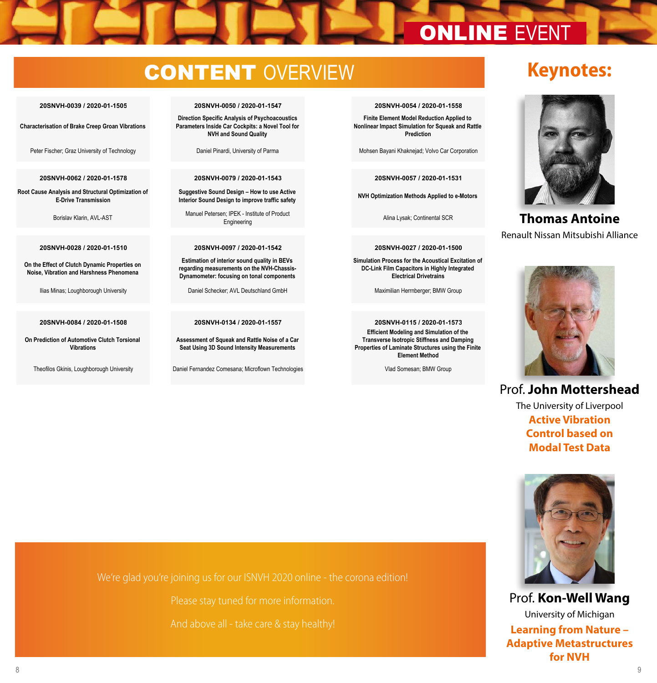# **20SNVH-0011 / 2020-01-1507**

## **CONTENT** OVERVIEW **Vibrational Response of the Steering Wheel**

**The in-Depth PHEV Driveline Torsional Vibration CAE/Testing Methodology**

**Powertrain, Transmission & Drivetrain**

**Characterisation of Brake Creep Groan Vibrations**

## **20SNVH-0062 / 2020-01-1578 20SNVH-0079 / 2020-01-1543 10:50 20SNVH-0057 / 2020-01-1531**

**Root Cause Analysis and Structural Optimization of E-Drive Transmission**

**On the Effect of Clutch Dynamic Properties on Noise, Vibration and Harshness Phenomena**

**On Prediction of Automotive Clutch Torsional Vibrations**

## **20SNVH-0039 / 2020-01-1505 20SNVH-0050 / 2020-01-1547 10:30 20SNVH-0054 / 2020-01-1558 Direction Specific Analysis of Psychoacoustics**

**Measurement of the Biodynamic Response of the** 

**Sound Design**

**Parameters Inside Car Cockpits: a Novel Tool for NVH and Sound Quality**

**Suggestive Sound Design – How to use Active Interior Sound Design to improve traffic safety**

Borislav Klarin, AVL-AST **Manuel Petersen;** IPER History Continental SCR Alina Lysak; Continental SCR Manuel Petersen; IPEK - Institute of Product Engineering

**Estimation of interior sound quality in BEVs regarding measurements on the NVH-Chassis-Dynamometer: focusing on tonal components**

**Assessment of Squeak and Rattle Noise of a Car Seat Using 3D Sound Intensity Measurements**

Theofilos Gkinis, Loughborough University Daniel Fernandez Comesana; Microflown Technologies Vlad Somesan; BMW Group

# **Finite Element Model Reduction Applied to**

**Using Harmonic Balance Method** 

**Modelling Techn. & Virtual Prototyping** 

**Nonlinear Impact Simulation for Squeak and Rattle Prediction**

Peter Fischer; Graz University of Technology Daniel Pinardi, University of Parma Mohsen Bayani Khaknejad; Volvo Car Corporation

**NVH Optimization Methods Applied to e-Motors**

## **20SNVH-0028 / 2020-01-1510 20SNVH-0097 / 2020-01-1542 11:10 20SNVH-0027 / 2020-01-1500**

**Simulation Process for the Acoustical Excitation of DC-Link Film Capacitors in Highly Integrated Electrical Drivetrains**

Ilias Minas; Loughborough University Daniel Schecker; AVL Deutschland GmbH Maximilian Herrnberger; BMW Group

## **20SNVH-0084 / 2020-01-1508 20SNVH-0134 / 2020-01-1557 20SNVH-0115 / 2020-01-1573**

**Efficient Modeling and Simulation of the Transverse Isotropic Stiffness and Damping Properties of Laminate Structures using the Finite Element Method** 



**Keynotes:**

**Thomas Antoine**  Renault Nissan Mitsubishi Alliance



## Prof. **John Mottershead**

The University of Liverpool **Active Vibration Control based on Modal Test Data**



Prof. **Kon-Well Wang**  University of Michigan **Learning from Nature – Adaptive Metastructures for NVH**

We're glad you're joining us for our ISNVH 2020 online - the corona edition!

And above all - take care & stay healthy!